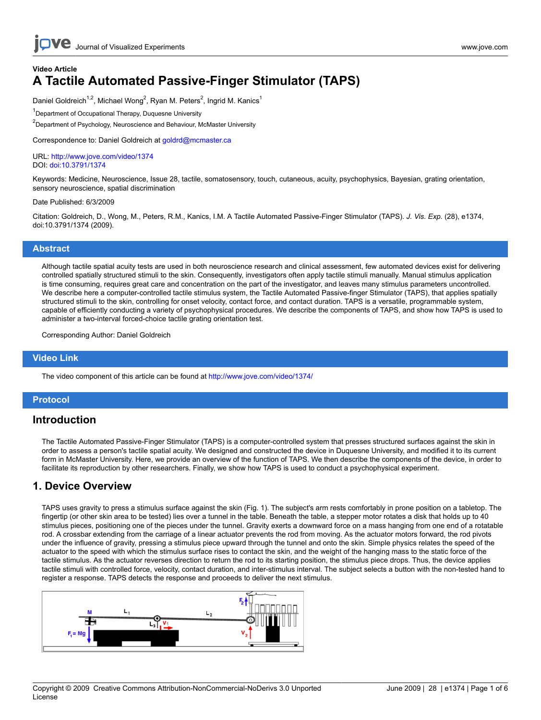# **Video Article A Tactile Automated Passive-Finger Stimulator (TAPS)**

Daniel Goldreich<sup>1,2</sup>, Michael Wong<sup>2</sup>, Ryan M. Peters<sup>2</sup>, Ingrid M. Kanics<sup>1</sup>

<sup>1</sup>Department of Occupational Therapy, Duquesne University

<sup>2</sup>Department of Psychology, Neuroscience and Behaviour, McMaster University

Correspondence to: Daniel Goldreich at [goldrd@mcmaster.ca](mailto:goldrd@mcmaster.ca)

URL:<http://www.jove.com/video/1374> DOI: [doi:10.3791/1374](http://dx.doi.org/10.3791/1374)

Keywords: Medicine, Neuroscience, Issue 28, tactile, somatosensory, touch, cutaneous, acuity, psychophysics, Bayesian, grating orientation, sensory neuroscience, spatial discrimination

### Date Published: 6/3/2009

Citation: Goldreich, D., Wong, M., Peters, R.M., Kanics, I.M. A Tactile Automated Passive-Finger Stimulator (TAPS). *J. Vis. Exp.* (28), e1374, doi:10.3791/1374 (2009).

### **Abstract**

Although tactile spatial acuity tests are used in both neuroscience research and clinical assessment, few automated devices exist for delivering controlled spatially structured stimuli to the skin. Consequently, investigators often apply tactile stimuli manually. Manual stimulus application is time consuming, requires great care and concentration on the part of the investigator, and leaves many stimulus parameters uncontrolled. We describe here a computer-controlled tactile stimulus system, the Tactile Automated Passive-finger Stimulator (TAPS), that applies spatially structured stimuli to the skin, controlling for onset velocity, contact force, and contact duration. TAPS is a versatile, programmable system, capable of efficiently conducting a variety of psychophysical procedures. We describe the components of TAPS, and show how TAPS is used to administer a two-interval forced-choice tactile grating orientation test.

Corresponding Author: Daniel Goldreich

### **Video Link**

The video component of this article can be found at <http://www.jove.com/video/1374/>

## **Protocol**

## **Introduction**

The Tactile Automated Passive-Finger Stimulator (TAPS) is a computer-controlled system that presses structured surfaces against the skin in order to assess a person's tactile spatial acuity. We designed and constructed the device in Duquesne University, and modified it to its current form in McMaster University. Here, we provide an overview of the function of TAPS. We then describe the components of the device, in order to facilitate its reproduction by other researchers. Finally, we show how TAPS is used to conduct a psychophysical experiment.

# **1. Device Overview**

TAPS uses gravity to press a stimulus surface against the skin (Fig. 1). The subject's arm rests comfortably in prone position on a tabletop. The fingertip (or other skin area to be tested) lies over a tunnel in the table. Beneath the table, a stepper motor rotates a disk that holds up to 40 stimulus pieces, positioning one of the pieces under the tunnel. Gravity exerts a downward force on a mass hanging from one end of a rotatable rod. A crossbar extending from the carriage of a linear actuator prevents the rod from moving. As the actuator motors forward, the rod pivots under the influence of gravity, pressing a stimulus piece upward through the tunnel and onto the skin. Simple physics relates the speed of the actuator to the speed with which the stimulus surface rises to contact the skin, and the weight of the hanging mass to the static force of the tactile stimulus. As the actuator reverses direction to return the rod to its starting position, the stimulus piece drops. Thus, the device applies tactile stimuli with controlled force, velocity, contact duration, and inter-stimulus interval. The subject selects a button with the non-tested hand to register a response. TAPS detects the response and proceeds to deliver the next stimulus.

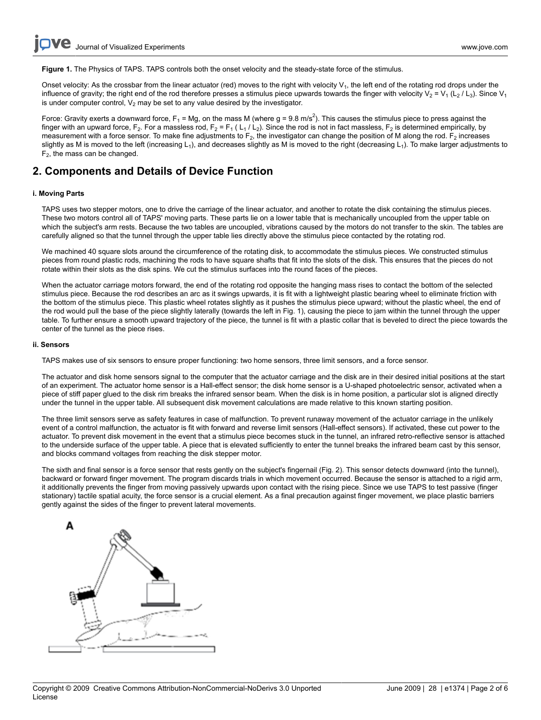Figure 1. The Physics of TAPS. TAPS controls both the onset velocity and the steady-state force of the stimulus.

Onset velocity: As the crossbar from the linear actuator (red) moves to the right with velocity  $V_1$ , the left end of the rotating rod drops under the influence of gravity; the right end of the rod therefore presses a stimulus piece upwards towards the finger with velocity  $V_2 = V_1 (L_2 / L_3)$ . Since  $V_1$ is under computer control,  $V_2$  may be set to any value desired by the investigator.

Force: Gravity exerts a downward force, F<sub>1</sub> = Mg, on the mass M (where g = 9.8 m/s<sup>2</sup>). This causes the stimulus piece to press against the finger with an upward force, F<sub>2</sub>. For a massless rod, F<sub>2</sub> = F<sub>1</sub> (L<sub>1</sub> / L<sub>2</sub>). Since the rod is not in fact massless, F<sub>2</sub> is determined empirically, by measurement with a force sensor. To make fine adjustments to  $F_2$ , the investigator can change the position of M along the rod.  $F_2$  increases slightly as M is moved to the left (increasing L<sub>1</sub>), and decreases slightly as M is moved to the right (decreasing L<sub>1</sub>). To make larger adjustments to  $F<sub>2</sub>$ , the mass can be changed.

# **2. Components and Details of Device Function**

### **i. Moving Parts**

TAPS uses two stepper motors, one to drive the carriage of the linear actuator, and another to rotate the disk containing the stimulus pieces. These two motors control all of TAPS' moving parts. These parts lie on a lower table that is mechanically uncoupled from the upper table on which the subject's arm rests. Because the two tables are uncoupled, vibrations caused by the motors do not transfer to the skin. The tables are carefully aligned so that the tunnel through the upper table lies directly above the stimulus piece contacted by the rotating rod.

We machined 40 square slots around the circumference of the rotating disk, to accommodate the stimulus pieces. We constructed stimulus pieces from round plastic rods, machining the rods to have square shafts that fit into the slots of the disk. This ensures that the pieces do not rotate within their slots as the disk spins. We cut the stimulus surfaces into the round faces of the pieces.

When the actuator carriage motors forward, the end of the rotating rod opposite the hanging mass rises to contact the bottom of the selected stimulus piece. Because the rod describes an arc as it swings upwards, it is fit with a lightweight plastic bearing wheel to eliminate friction with the bottom of the stimulus piece. This plastic wheel rotates slightly as it pushes the stimulus piece upward; without the plastic wheel, the end of the rod would pull the base of the piece slightly laterally (towards the left in Fig. 1), causing the piece to jam within the tunnel through the upper table. To further ensure a smooth upward trajectory of the piece, the tunnel is fit with a plastic collar that is beveled to direct the piece towards the center of the tunnel as the piece rises.

### **ii. Sensors**

TAPS makes use of six sensors to ensure proper functioning: two home sensors, three limit sensors, and a force sensor.

The actuator and disk home sensors signal to the computer that the actuator carriage and the disk are in their desired initial positions at the start of an experiment. The actuator home sensor is a Hall-effect sensor; the disk home sensor is a U-shaped photoelectric sensor, activated when a piece of stiff paper glued to the disk rim breaks the infrared sensor beam. When the disk is in home position, a particular slot is aligned directly under the tunnel in the upper table. All subsequent disk movement calculations are made relative to this known starting position.

The three limit sensors serve as safety features in case of malfunction. To prevent runaway movement of the actuator carriage in the unlikely event of a control malfunction, the actuator is fit with forward and reverse limit sensors (Hall-effect sensors). If activated, these cut power to the actuator. To prevent disk movement in the event that a stimulus piece becomes stuck in the tunnel, an infrared retro-reflective sensor is attached to the underside surface of the upper table. A piece that is elevated sufficiently to enter the tunnel breaks the infrared beam cast by this sensor, and blocks command voltages from reaching the disk stepper motor.

The sixth and final sensor is a force sensor that rests gently on the subject's fingernail (Fig. 2). This sensor detects downward (into the tunnel), backward or forward finger movement. The program discards trials in which movement occurred. Because the sensor is attached to a rigid arm, it additionally prevents the finger from moving passively upwards upon contact with the rising piece. Since we use TAPS to test passive (finger stationary) tactile spatial acuity, the force sensor is a crucial element. As a final precaution against finger movement, we place plastic barriers gently against the sides of the finger to prevent lateral movements.

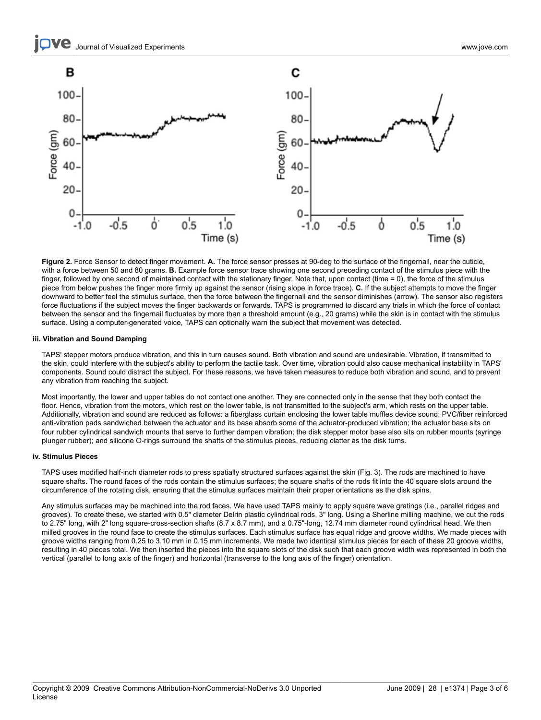# Journal of Visualized [Experiments](http://www.jove.com) [www.jove.com](http://www.jove.com)



**Figure 2.** Force Sensor to detect finger movement. **A.** The force sensor presses at 90-deg to the surface of the fingernail, near the cuticle, with a force between 50 and 80 grams. **B.** Example force sensor trace showing one second preceding contact of the stimulus piece with the finger, followed by one second of maintained contact with the stationary finger. Note that, upon contact (time = 0), the force of the stimulus piece from below pushes the finger more firmly up against the sensor (rising slope in force trace). **C.** If the subject attempts to move the finger downward to better feel the stimulus surface, then the force between the fingernail and the sensor diminishes (arrow). The sensor also registers force fluctuations if the subject moves the finger backwards or forwards. TAPS is programmed to discard any trials in which the force of contact between the sensor and the fingernail fluctuates by more than a threshold amount (e.g., 20 grams) while the skin is in contact with the stimulus surface. Using a computer-generated voice, TAPS can optionally warn the subject that movement was detected.

### **iii. Vibration and Sound Damping**

TAPS' stepper motors produce vibration, and this in turn causes sound. Both vibration and sound are undesirable. Vibration, if transmitted to the skin, could interfere with the subject's ability to perform the tactile task. Over time, vibration could also cause mechanical instability in TAPS' components. Sound could distract the subject. For these reasons, we have taken measures to reduce both vibration and sound, and to prevent any vibration from reaching the subject.

Most importantly, the lower and upper tables do not contact one another. They are connected only in the sense that they both contact the floor. Hence, vibration from the motors, which rest on the lower table, is not transmitted to the subject's arm, which rests on the upper table. Additionally, vibration and sound are reduced as follows: a fiberglass curtain enclosing the lower table muffles device sound; PVC/fiber reinforced anti-vibration pads sandwiched between the actuator and its base absorb some of the actuator-produced vibration; the actuator base sits on four rubber cylindrical sandwich mounts that serve to further dampen vibration; the disk stepper motor base also sits on rubber mounts (syringe plunger rubber); and silicone O-rings surround the shafts of the stimulus pieces, reducing clatter as the disk turns.

### **iv. Stimulus Pieces**

TAPS uses modified half-inch diameter rods to press spatially structured surfaces against the skin (Fig. 3). The rods are machined to have square shafts. The round faces of the rods contain the stimulus surfaces; the square shafts of the rods fit into the 40 square slots around the circumference of the rotating disk, ensuring that the stimulus surfaces maintain their proper orientations as the disk spins.

Any stimulus surfaces may be machined into the rod faces. We have used TAPS mainly to apply square wave gratings (i.e., parallel ridges and grooves). To create these, we started with 0.5" diameter Delrin plastic cylindrical rods, 3" long. Using a Sherline milling machine, we cut the rods to 2.75" long, with 2" long square-cross-section shafts (8.7 x 8.7 mm), and a 0.75"-long, 12.74 mm diameter round cylindrical head. We then milled grooves in the round face to create the stimulus surfaces. Each stimulus surface has equal ridge and groove widths. We made pieces with groove widths ranging from 0.25 to 3.10 mm in 0.15 mm increments. We made two identical stimulus pieces for each of these 20 groove widths, resulting in 40 pieces total. We then inserted the pieces into the square slots of the disk such that each groove width was represented in both the vertical (parallel to long axis of the finger) and horizontal (transverse to the long axis of the finger) orientation.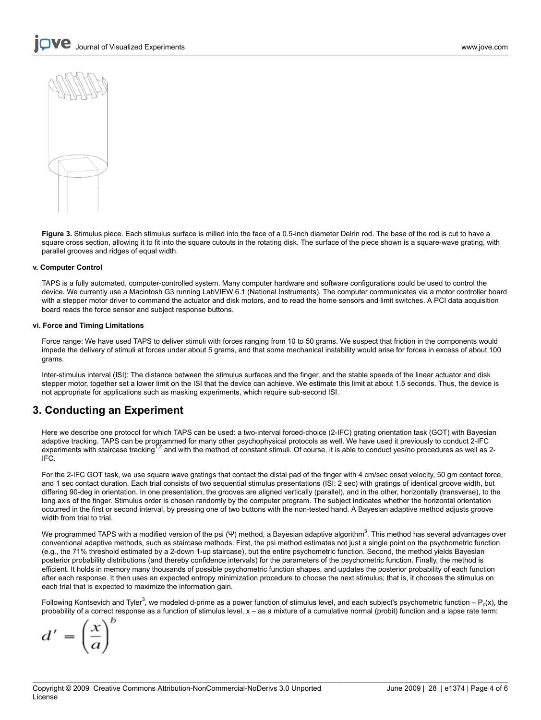

**Figure 3.** Stimulus piece. Each stimulus surface is milled into the face of a 0.5-inch diameter Delrin rod. The base of the rod is cut to have a square cross section, allowing it to fit into the square cutouts in the rotating disk. The surface of the piece shown is a square-wave grating, with parallel grooves and ridges of equal width.

### **v. Computer Control**

TAPS is a fully automated, computer-controlled system. Many computer hardware and software configurations could be used to control the device. We currently use a Macintosh G3 running LabVIEW 6.1 (National Instruments). The computer communicates via a motor controller board with a stepper motor driver to command the actuator and disk motors, and to read the home sensors and limit switches. A PCI data acquisition board reads the force sensor and subject response buttons.

### **vi. Force and Timing Limitations**

Force range: We have used TAPS to deliver stimuli with forces ranging from 10 to 50 grams. We suspect that friction in the components would impede the delivery of stimuli at forces under about 5 grams, and that some mechanical instability would arise for forces in excess of about 100 grams.

Inter-stimulus interval (ISI): The distance between the stimulus surfaces and the finger, and the stable speeds of the linear actuator and disk stepper motor, together set a lower limit on the ISI that the device can achieve. We estimate this limit at about 1.5 seconds. Thus, the device is not appropriate for applications such as masking experiments, which require sub-second ISI.

# **3. Conducting an Experiment**

Here we describe one protocol for which TAPS can be used: a two-interval forced-choice (2-IFC) grating orientation task (GOT) with Bayesian adaptive tracking. TAPS can be programmed for many other psychophysical protocols as well. We have used it previously to conduct 2-IFC experiments with staircase tracking<sup>1,2</sup> and with the method of constant stimuli. Of course, it is able to conduct yes/no procedures as well as 2-IFC.

For the 2-IFC GOT task, we use square wave gratings that contact the distal pad of the finger with 4 cm/sec onset velocity, 50 gm contact force, and 1 sec contact duration. Each trial consists of two sequential stimulus presentations (ISI: 2 sec) with gratings of identical groove width, but differing 90-deg in orientation. In one presentation, the grooves are aligned vertically (parallel), and in the other, horizontally (transverse), to the long axis of the finger. Stimulus order is chosen randomly by the computer program. The subject indicates whether the horizontal orientation occurred in the first or second interval, by pressing one of two buttons with the non-tested hand. A Bayesian adaptive method adjusts groove width from trial to trial.

We programmed TAPS with a modified version of the psi (Ψ) method, a Bayesian adaptive algorithm<sup>3</sup>. This method has several advantages over conventional adaptive methods, such as staircase methods. First, the psi method estimates not just a single point on the psychometric function (e.g., the 71% threshold estimated by a 2-down 1-up staircase), but the entire psychometric function. Second, the method yields Bayesian posterior probability distributions (and thereby confidence intervals) for the parameters of the psychometric function. Finally, the method is efficient. It holds in memory many thousands of possible psychometric function shapes, and updates the posterior probability of each function after each response. It then uses an expected entropy minimization procedure to choose the next stimulus; that is, it chooses the stimulus on each trial that is expected to maximize the information gain.

Following Kontsevich and Tyler<sup>3</sup>, we modeled d-prime as a power function of stimulus level, and each subject's psychometric function – P<sub>c</sub>(x), the probability of a correct response as a function of stimulus level, x – as a mixture of a cumulative normal (probit) function and a lapse rate term:

$$
d' = \left(\frac{x}{a}\right)^t
$$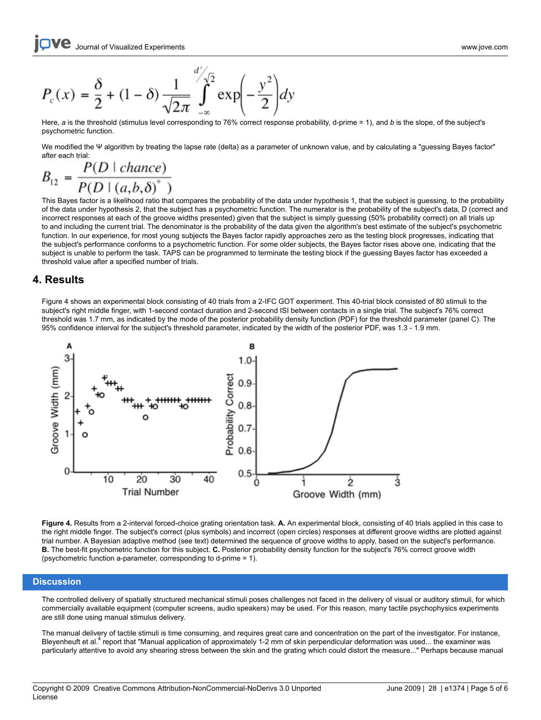$$
P_c(x) = \frac{\delta}{2} + (1 - \delta) \frac{1}{\sqrt{2\pi}} \int_{-\infty}^{d/\sqrt{2}} \exp\left(-\frac{y^2}{2}\right) dy
$$

Here, *a* is the threshold (stimulus level corresponding to 76% correct response probability, d-prime = 1), and *b* is the slope, of the subject's psychometric function.

We modified the Ψ algorithm by treating the lapse rate (delta) as a parameter of unknown value, and by calculating a "guessing Bayes factor" after each trial:

$$
B_{12} = \frac{P(D \mid chance)}{P(D \mid (a,b,\delta)^*)}
$$

This Bayes factor is a likelihood ratio that compares the probability of the data under hypothesis 1, that the subject is guessing, to the probability of the data under hypothesis 2, that the subject has a psychometric function. The numerator is the probability of the subject's data, D (correct and incorrect responses at each of the groove widths presented) given that the subject is simply guessing (50% probability correct) on all trials up to and including the current trial. The denominator is the probability of the data given the algorithm's best estimate of the subject's psychometric function. In our experience, for most young subjects the Bayes factor rapidly approaches zero as the testing block progresses, indicating that the subject's performance conforms to a psychometric function. For some older subjects, the Bayes factor rises above one, indicating that the subject is unable to perform the task. TAPS can be programmed to terminate the testing block if the guessing Bayes factor has exceeded a threshold value after a specified number of trials.

## **4. Results**

Figure 4 shows an experimental block consisting of 40 trials from a 2-IFC GOT experiment. This 40-trial block consisted of 80 stimuli to the subject's right middle finger, with 1-second contact duration and 2-second ISI between contacts in a single trial. The subject's 76% correct threshold was 1.7 mm, as indicated by the mode of the posterior probability density function (PDF) for the threshold parameter (panel C). The 95% confidence interval for the subject's threshold parameter, indicated by the width of the posterior PDF, was 1.3 - 1.9 mm.



**Figure 4.** Results from a 2-interval forced-choice grating orientation task. **A.** An experimental block, consisting of 40 trials applied in this case to the right middle finger. The subject's correct (plus symbols) and incorrect (open circles) responses at different groove widths are plotted against trial number. A Bayesian adaptive method (see text) determined the sequence of groove widths to apply, based on the subject's performance. **B.** The best-fit psychometric function for this subject. **C.** Posterior probability density function for the subject's 76% correct groove width (psychometric function a-parameter, corresponding to d-prime = 1).

### **Discussion**

The controlled delivery of spatially structured mechanical stimuli poses challenges not faced in the delivery of visual or auditory stimuli, for which commercially available equipment (computer screens, audio speakers) may be used. For this reason, many tactile psychophysics experiments are still done using manual stimulus delivery.

The manual delivery of tactile stimuli is time consuming, and requires great care and concentration on the part of the investigator. For instance, Bleyenheuft et al.<sup>4</sup> report that "Manual application of approximately 1-2 mm of skin perpendicular deformation was used... the examiner was particularly attentive to avoid any shearing stress between the skin and the grating which could distort the measure..." Perhaps because manual